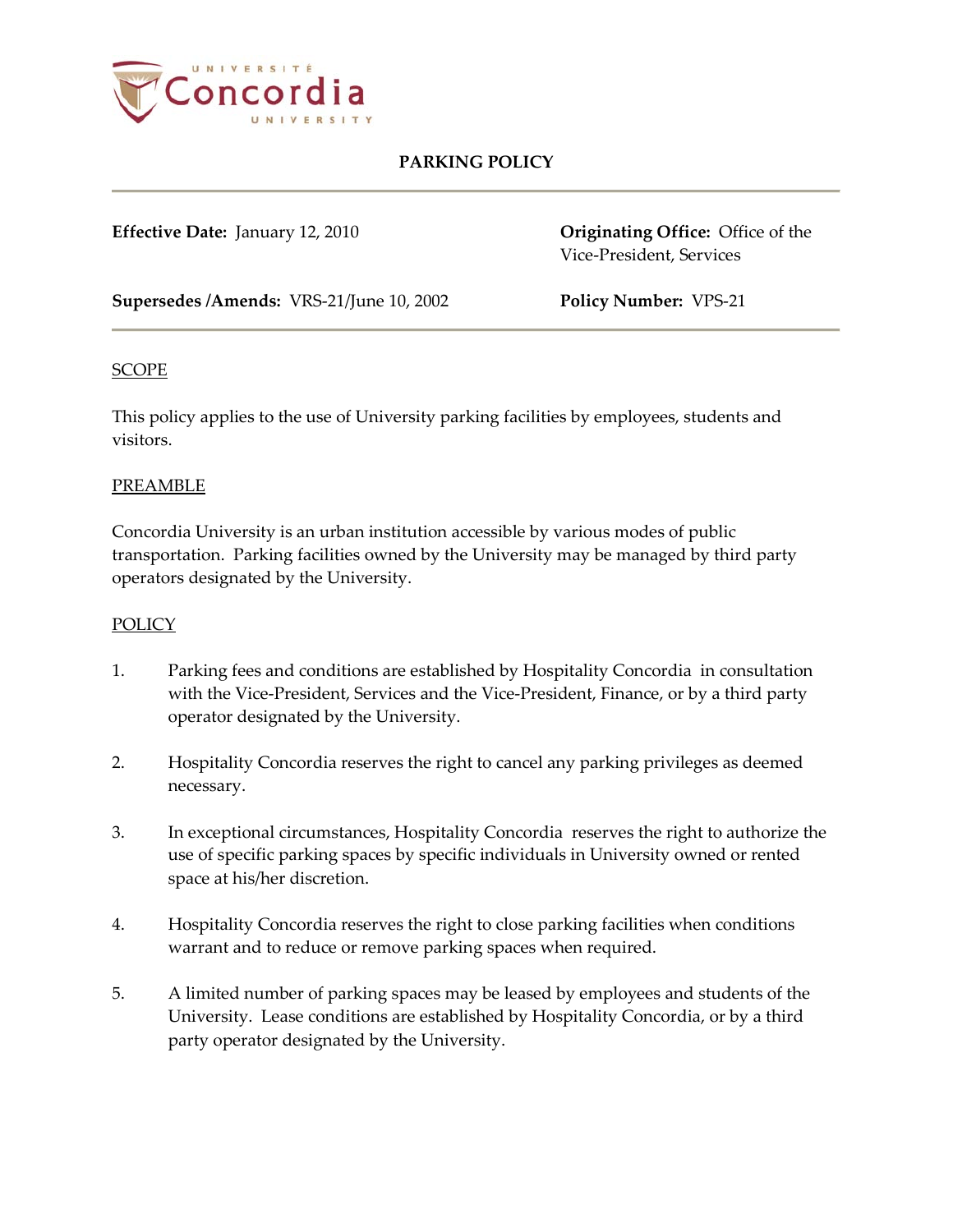

## **PARKING POLICY**

**Effective Date:** January 12, 2010 **Originating Office:** Office of the Vice-President, Services

**Supersedes /Amends:** VRS-21/June 10, 2002 **Policy Number:** VPS-21

#### **SCOPE**

This policy applies to the use of University parking facilities by employees, students and visitors.

#### PREAMBLE

Concordia University is an urban institution accessible by various modes of public transportation. Parking facilities owned by the University may be managed by third party operators designated by the University.

### **POLICY**

- 1. Parking fees and conditions are established by Hospitality Concordia in consultation with the Vice-President, Services and the Vice-President, Finance, or by a third party operator designated by the University.
- 2. Hospitality Concordia reserves the right to cancel any parking privileges as deemed necessary.
- 3. In exceptional circumstances, Hospitality Concordia reserves the right to authorize the use of specific parking spaces by specific individuals in University owned or rented space at his/her discretion.
- 4. Hospitality Concordia reserves the right to close parking facilities when conditions warrant and to reduce or remove parking spaces when required.
- 5. A limited number of parking spaces may be leased by employees and students of the University. Lease conditions are established by Hospitality Concordia, or by a third party operator designated by the University.